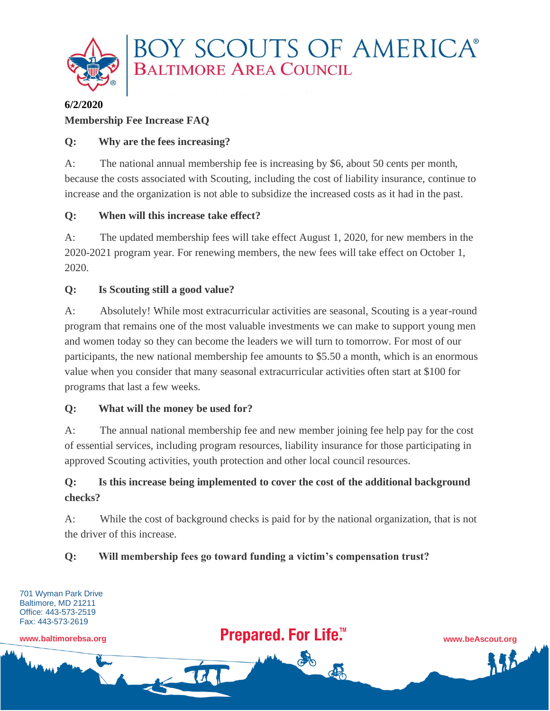

## **6/2/2020 Membership Fee Increase FAQ**

### **Q: Why are the fees increasing?**

A: The national annual membership fee is increasing by \$6, about 50 cents per month, because the costs associated with Scouting, including the cost of liability insurance, continue to increase and the organization is not able to subsidize the increased costs as it had in the past.

## **Q: When will this increase take effect?**

A: The updated membership fees will take effect August 1, 2020, for new members in the 2020-2021 program year. For renewing members, the new fees will take effect on October 1, 2020.

## **Q: Is Scouting still a good value?**

A: Absolutely! While most extracurricular activities are seasonal, Scouting is a year-round program that remains one of the most valuable investments we can make to support young men and women today so they can become the leaders we will turn to tomorrow. For most of our participants, the new national membership fee amounts to \$5.50 a month, which is an enormous value when you consider that many seasonal extracurricular activities often start at \$100 for programs that last a few weeks.

#### **Q: What will the money be used for?**

A: The annual national membership fee and new member joining fee help pay for the cost of essential services, including program resources, liability insurance for those participating in approved Scouting activities, youth protection and other local council resources.

# **Q: Is this increase being implemented to cover the cost of the additional background checks?**

A: While the cost of background checks is paid for by the national organization, that is not the driver of this increase.

## **Q: Will membership fees go toward funding a victim's compensation trust?**